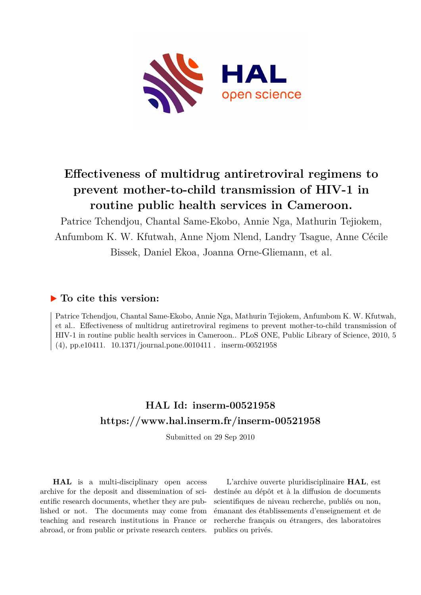

# **Effectiveness of multidrug antiretroviral regimens to prevent mother-to-child transmission of HIV-1 in routine public health services in Cameroon.**

Patrice Tchendjou, Chantal Same-Ekobo, Annie Nga, Mathurin Tejiokem, Anfumbom K. W. Kfutwah, Anne Njom Nlend, Landry Tsague, Anne Cécile Bissek, Daniel Ekoa, Joanna Orne-Gliemann, et al.

# **To cite this version:**

Patrice Tchendjou, Chantal Same-Ekobo, Annie Nga, Mathurin Tejiokem, Anfumbom K. W. Kfutwah, et al.. Effectiveness of multidrug antiretroviral regimens to prevent mother-to-child transmission of HIV-1 in routine public health services in Cameroon.. PLoS ONE, Public Library of Science, 2010, 5  $(4)$ , pp.e10411. 10.1371/journal.pone.0010411 . inserm-00521958

# **HAL Id: inserm-00521958 <https://www.hal.inserm.fr/inserm-00521958>**

Submitted on 29 Sep 2010

**HAL** is a multi-disciplinary open access archive for the deposit and dissemination of scientific research documents, whether they are published or not. The documents may come from teaching and research institutions in France or abroad, or from public or private research centers.

L'archive ouverte pluridisciplinaire **HAL**, est destinée au dépôt et à la diffusion de documents scientifiques de niveau recherche, publiés ou non, émanant des établissements d'enseignement et de recherche français ou étrangers, des laboratoires publics ou privés.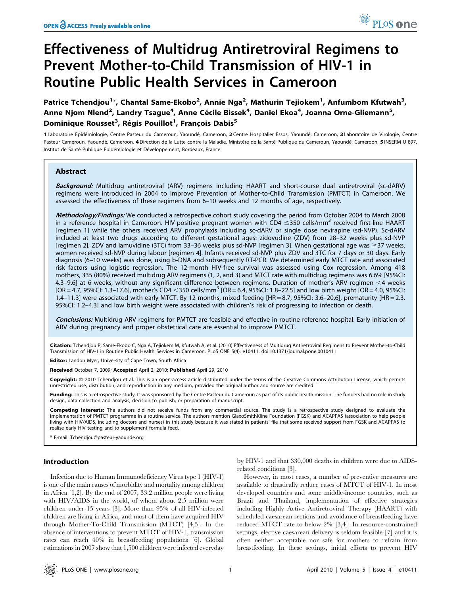# Effectiveness of Multidrug Antiretroviral Regimens to Prevent Mother-to-Child Transmission of HIV-1 in Routine Public Health Services in Cameroon

Patrice Tchendjou<sup>1</sup>\*, Chantal Same-Ekobo<sup>2</sup>, Annie Nga<sup>2</sup>, Mathurin Tejiokem<sup>1</sup>, Anfumbom Kfutwah<sup>3</sup>, Anne Njom Nlend<sup>2</sup>, Landry Tsague<sup>4</sup>, Anne Cécile Bissek<sup>4</sup>, Daniel Ekoa<sup>4</sup>, Joanna Orne-Gliemann<sup>5</sup>, Dominique Rousset<sup>3</sup>, Régis Pouillot<sup>1</sup>, François Dabis<sup>5</sup>

1 Laboratoire Epidémiologie, Centre Pasteur du Cameroun, Yaoundé, Cameroon, 2 Centre Hospitalier Essos, Yaoundé, Cameroon, 3 Laboratoire de Virologie, Centre Pasteur Cameroun, Yaoundé, Cameroon, 4 Direction de la Lutte contre la Maladie, Ministère de la Santé Publique du Cameroun, Yaoundé, Cameroon, 5 INSERM U 897, Institut de Santé Publique Epidémiologie et Développement, Bordeaux, France

# Abstract

Background: Multidrug antiretroviral (ARV) regimens including HAART and short-course dual antiretroviral (sc-dARV) regimens were introduced in 2004 to improve Prevention of Mother-to-Child Transmission (PMTCT) in Cameroon. We assessed the effectiveness of these regimens from 6–10 weeks and 12 months of age, respectively.

Methodology/Findings: We conducted a retrospective cohort study covering the period from October 2004 to March 2008 in a reference hospital in Cameroon. HIV-positive pregnant women with CD4  $\leq$ 350 cells/mm<sup>3</sup> received first-line HAART [regimen 1] while the others received ARV prophylaxis including sc-dARV or single dose nevirapine (sd-NVP). Sc-dARV included at least two drugs according to different gestational ages: zidovudine (ZDV) from 28–32 weeks plus sd-NVP [regimen 2], ZDV and lamuvidine (3TC) from 33-36 weeks plus sd-NVP [regimen 3]. When gestational age was ≥37 weeks, women received sd-NVP during labour [regimen 4]. Infants received sd-NVP plus ZDV and 3TC for 7 days or 30 days. Early diagnosis (6–10 weeks) was done, using b-DNA and subsequently RT-PCR. We determined early MTCT rate and associated risk factors using logistic regression. The 12-month HIV-free survival was assessed using Cox regression. Among 418 mothers, 335 (80%) received multidrug ARV regimens (1, 2, and 3) and MTCT rate with multidrug regimens was 6.6% [95%CI: 4.3–9.6] at 6 weeks, without any significant difference between regimens. Duration of mother's ARV regimen <4 weeks  $[OR = 4.7, 95\%$ CI: 1.3–17.6], mother's CD4 <350 cells/mm<sup>3</sup>  $[OR = 6.4, 95\%$ CI: 1.8–22.5] and low birth weight  $[OR = 4.0, 95\%$ CI: 1.4–11.3] were associated with early MTCT. By 12 months, mixed feeding [HR = 8.7, 95%CI: 3.6–20.6], prematurity [HR = 2.3, 95%CI: 1.2–4.3] and low birth weight were associated with children's risk of progressing to infection or death.

Conclusions: Multidrug ARV regimens for PMTCT are feasible and effective in routine reference hospital. Early initiation of ARV during pregnancy and proper obstetrical care are essential to improve PMTCT.

Citation: Tchendjou P, Same-Ekobo C, Nga A, Tejiokem M, Kfutwah A, et al. (2010) Effectiveness of Multidrug Antiretroviral Regimens to Prevent Mother-to-Child Transmission of HIV-1 in Routine Public Health Services in Cameroon. PLoS ONE 5(4): e10411. doi:10.1371/journal.pone.0010411

Editor: Landon Myer, University of Cape Town, South Africa

Received October 7, 2009; Accepted April 2, 2010; Published April 29, 2010

**Copyright:** © 2010 Tchendjou et al. This is an open-access article distributed under the terms of the Creative Commons Attribution License, which permits unrestricted use, distribution, and reproduction in any medium, provided the original author and source are credited.

Funding: This is a retrospective study. It was sponsored by the Centre Pasteur du Cameroun as part of its public health mission. The funders had no role in study design, data collection and analysis, decision to publish, or preparation of manuscript.

Competing Interests: The authors did not receive funds from any commercial source. The study is a retrospective study designed to evaluate the implementation of PMTCT programme in a routine service. The authors mention GlaxoSmithKline Foundation (FGSK) and ACAPFAS (association to help people living with HIV/AIDS, including doctors and nurses) in this study because it was stated in patients' file that some received support from FGSK and ACAPFAS to realise early HIV testing and to supplement formula feed.

\* E-mail: Tchendjou@pasteur-yaounde.org

# Introduction

Infection due to Human Immunodeficiency Virus type 1 (HIV-1) is one of the main causes of morbidity and mortality among children in Africa [1,2]. By the end of 2007, 33.2 million people were living with HIV/AIDS in the world, of whom about 2.5 million were children under 15 years [3]. More than 95% of all HIV-infected children are living in Africa, and most of them have acquired HIV through Mother-To-Child Transmission (MTCT) [4,5]. In the absence of interventions to prevent MTCT of HIV-1, transmission rates can reach 40% in breastfeeding populations [6]. Global estimations in 2007 show that 1,500 children were infected everyday

by HIV-1 and that 330,000 deaths in children were due to AIDSrelated conditions [3].

However, in most cases, a number of preventive measures are available to drastically reduce cases of MTCT of HIV-1. In most developed countries and some middle-income countries, such as Brazil and Thailand, implementation of effective strategies including Highly Active Antiretroviral Therapy (HAART) with scheduled caesarean sections and avoidance of breastfeeding have reduced MTCT rate to below 2% [3,4]. In resource-constrained settings, elective caesarean delivery is seldom feasible [7] and it is often neither acceptable nor safe for mothers to refrain from breastfeeding. In these settings, initial efforts to prevent HIV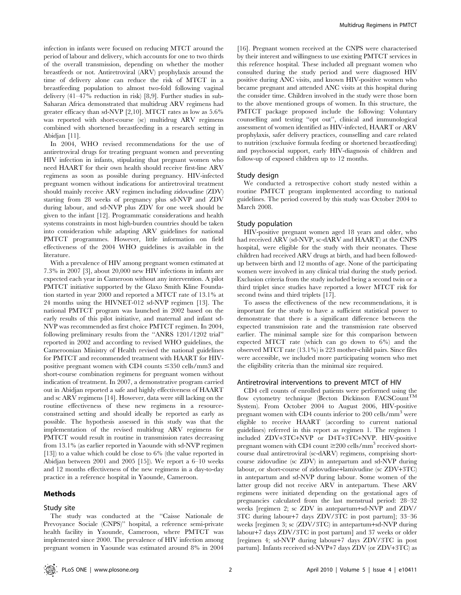infection in infants were focused on reducing MTCT around the period of labour and delivery, which accounts for one to two thirds of the overall transmission, depending on whether the mother breastfeeds or not. Antiretroviral (ARV) prophylaxis around the time of delivery alone can reduce the risk of MTCT in a breastfeeding population to almost two-fold following vaginal delivery (41–47% reduction in risk) [8,9]. Further studies in sub-Saharan Africa demonstrated that multidrug ARV regimens had greater efficacy than sd-NVP [2,10]. MTCT rates as low as 5.6% was reported with short-course (sc) multidrug ARV regimens combined with shortened breastfeeding in a research setting in Abidjan [11].

In 2004, WHO revised recommendations for the use of antiretroviral drugs for treating pregnant women and preventing HIV infection in infants, stipulating that pregnant women who need HAART for their own health should receive first-line ARV regimens as soon as possible during pregnancy. HIV-infected pregnant women without indications for antiretroviral treatment should mainly receive ARV regimen including zidovudine (ZDV) starting from 28 weeks of pregnancy plus sd-NVP and ZDV during labour, and sd-NVP plus ZDV for one week should be given to the infant [12]. Programmatic considerations and health systems constraints in most high-burden countries should be taken into consideration while adapting ARV guidelines for national PMTCT programmes. However, little information on field effectiveness of the 2004 WHO guidelines is available in the literature.

With a prevalence of HIV among pregnant women estimated at 7.3% in 2007 [3], about 20,000 new HIV infections in infants are expected each year in Cameroon without any intervention. A pilot PMTCT initiative supported by the Glaxo Smith Kline Foundation started in year 2000 and reported a MTCT rate of 13.1% at 24 months using the HIVNET-012 sd-NVP regimen [13]. The national PMTCT program was launched in 2002 based on the early results of this pilot initiative, and maternal and infant sd-NVP was recommended as first choice PMTCT regimen. In 2004, following preliminary results from the ''ANRS 1201/1202 trial'' reported in 2002 and according to revised WHO guidelines, the Cameroonian Ministry of Health revised the national guidelines for PMTCT and recommended treatment with HAART for HIVpositive pregnant women with CD4 counts  $\leq 350$  cells/mm3 and short-course combination regimens for pregnant women without indication of treatment. In 2007, a demonstrative program carried out in Abidjan reported a safe and highly effectiveness of HAART and sc ARV regimens [14]. However, data were still lacking on the routine effectiveness of these new regimens in a resourceconstrained setting and should ideally be reported as early as possible. The hypothesis assessed in this study was that the implementation of the revised multidrug ARV regimens for PMTCT would result in routine in transmission rates decreasing from 13.1% (as earlier reported in Yaounde with sd-NVP regimen [13]) to a value which could be close to 6% (the value reported in Abidjan between 2001 and 2005 [15]). We report a 6–10 weeks and 12 months effectiveness of the new regimens in a day-to-day practice in a reference hospital in Yaounde, Cameroon.

### Methods

# Study site

The study was conducted at the ''Caisse Nationale de Prevoyance Sociale (CNPS)'' hospital, a reference semi-private health facility in Yaounde, Cameroon, where PMTCT was implemented since 2000. The prevalence of HIV infection among pregnant women in Yaounde was estimated around 8% in 2004

[16]. Pregnant women received at the CNPS were characterised by their interest and willingness to use existing PMTCT services in this reference hospital. These included all pregnant women who consulted during the study period and were diagnosed HIV positive during ANC visits, and known HIV-positive women who became pregnant and attended ANC visits at this hospital during the consider time. Children involved in the study were those born to the above mentioned groups of women. In this structure, the PMTCT package proposed include the following: Voluntary counselling and testing ''opt out'', clinical and immunological assessment of women identified as HIV-infected, HAART or ARV prophylaxis, safer delivery practices, counselling and care related to nutrition (exclusive formula feeding or shortened breastfeeding) and psychosocial support, early HIV-diagnosis of children and follow-up of exposed children up to 12 months.

## Study design

We conducted a retrospective cohort study nested within a routine PMTCT program implemented according to national guidelines. The period covered by this study was October 2004 to March 2008.

#### Study population

HIV-positive pregnant women aged 18 years and older, who had received ARV (sd-NVP, sc-dARV and HAART) at the CNPS hospital, were eligible for the study with their neonates. These children had received ARV drugs at birth, and had been followedup between birth and 12 months of age. None of the participating women were involved in any clinical trial during the study period. Exclusion criteria from the study included being a second twin or a third triplet since studies have reported a lower MTCT risk for second twins and third triplets [17].

To assess the effectiveness of the new recommendations, it is important for the study to have a sufficient statistical power to demonstrate that there is a significant difference between the expected transmission rate and the transmission rate observed earlier. The minimal sample size for this comparison between expected MTCT rate (which can go down to 6%) and the observed MTCT rate (13.1%) is 223 mother-child pairs. Since files were accessible, we included more participating women who met the eligibility criteria than the minimal size required.

#### Antiretroviral interventions to prevent MTCT of HIV

CD4 cell counts of enrolled patients were performed using the flow cytometry technique (Becton Dickinson FACSCount<sup>TM</sup> System). From October 2004 to August 2006, HIV-positive pregnant women with CD4 counts inferior to 200 cells/mm<sup>3</sup> were eligible to receive HAART (according to current national guidelines) referred in this report as regimen 1. The regimen 1 included ZDV+3TC+NVP or D4T+3TC+NVP. HIV-positive pregnant women with CD4 count  $\geq$ 200 cells/mm<sup>3</sup> received shortcourse dual antiretroviral (sc-dARV) regimens, comprising shortcourse zidovudine (sc ZDV) in antepartum and sd-NVP during labour, or short-course of zidovudine+lamivudine (sc ZDV+3TC) in antepartum and sd-NVP during labour. Some women of the latter group did not receive ARV in antepartum. These ARV regimens were initiated depending on the gestational ages of pregnancies calculated from the last menstrual period: 28–32 weeks [regimen 2; sc ZDV in antepartum+sd-NVP and ZDV/ 3TC during labour+7 days ZDV/3TC in post partum]; 33–36 weeks [regimen 3; sc (ZDV/3TC) in antepartum+sd-NVP during labour+7 days ZDV/3TC in post partum] and 37 weeks or older [regimen 4; sd-NVP during labour+7 days ZDV/3TC in post partum]. Infants received sd-NVP+7 days ZDV (or ZDV+3TC) as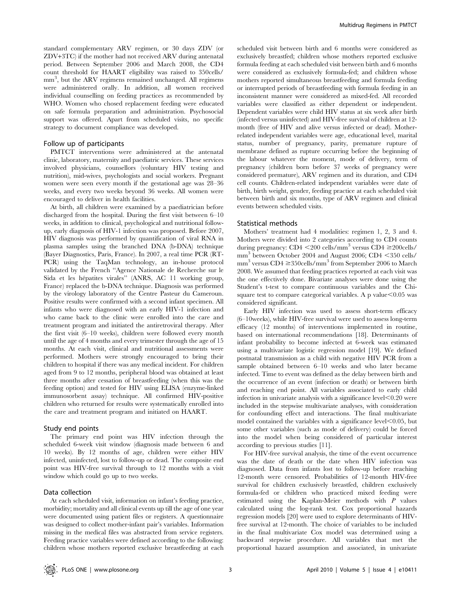standard complementary ARV regimen, or 30 days ZDV (or ZDV+3TC) if the mother had not received ARV during antenatal period. Between September 2006 and March 2008, the CD4 count threshold for HAART eligibility was raised to 350cells/ mm<sup>3</sup> , but the ARV regimens remained unchanged. All regimens were administered orally. In addition, all women received individual counselling on feeding practices as recommended by WHO. Women who chosed replacement feeding were educated on safe formula preparation and administration. Psychosocial support was offered. Apart from scheduled visits, no specific strategy to document compliance was developed.

## Follow up of participants

PMTCT interventions were administered at the antenatal clinic, laboratory, maternity and paediatric services. These services involved physicians, counsellors (voluntary HIV testing and nutrition), mid-wives, psychologists and social workers. Pregnant women were seen every month if the gestational age was 28–36 weeks, and every two weeks beyond 36 weeks. All women were encouraged to deliver in health facilities.

At birth, all children were examined by a paediatrician before discharged from the hospital. During the first visit between 6–10 weeks, in addition to clinical, psychological and nutritional followup, early diagnosis of HIV-1 infection was proposed. Before 2007, HIV diagnosis was performed by quantification of viral RNA in plasma samples using the branched DNA (b-DNA) technique (Bayer Diagnostics, Paris, France). In 2007, a real time PCR (RT-PCR) using the TaqMan technology, an in-house protocol validated by the French ''Agence Nationale de Recherche sur le Sida et les hépatites virales" (ANRS, AC 11 working group, France) replaced the b-DNA technique. Diagnosis was performed by the virology laboratory of the Centre Pasteur du Cameroun. Positive results were confirmed with a second infant specimen. All infants who were diagnosed with an early HIV-1 infection and who came back to the clinic were enrolled into the care and treatment program and initiated the antiretroviral therapy. After the first visit (6–10 weeks), children were followed every month until the age of 4 months and every trimester through the age of 15 months. At each visit, clinical and nutritional assessments were performed. Mothers were strongly encouraged to bring their children to hospital if there was any medical incident. For children aged from 9 to 12 months, peripheral blood was obtained at least three months after cessation of breastfeeding (when this was the feeding option) and tested for HIV using ELISA (enzyme-linked immunosorbent assay) technique. All confirmed HIV-positive children who returned for results were systematically enrolled into the care and treatment program and initiated on HAART.

#### Study end points

The primary end point was HIV infection through the scheduled 6-week visit window (diagnosis made between 6 and 10 weeks). By 12 months of age, children were either HIV infected, uninfected, lost to follow-up or dead. The composite end point was HIV-free survival through to 12 months with a visit window which could go up to two weeks.

#### Data collection

At each scheduled visit, information on infant's feeding practice, morbidity; mortality and all clinical events up till the age of one year were documented using patient files or registers. A questionnaire was designed to collect mother-infant pair's variables. Information missing in the medical files was abstracted from service registers. Feeding practice variables were defined according to the following: children whose mothers reported exclusive breastfeeding at each

scheduled visit between birth and 6 months were considered as exclusively breastfed; children whose mothers reported exclusive formula feeding at each scheduled visit between birth and 6 months were considered as exclusively formula-fed; and children whose mothers reported simultaneous breastfeeding and formula feeding or interrupted periods of breastfeeding with formula feeding in an inconsistent manner were considered as mixed-fed. All recorded variables were classified as either dependent or independent. Dependent variables were child HIV status at six week after birth (infected versus uninfected) and HIV-free survival of children at 12 month (free of HIV and alive versus infected or dead). Motherrelated independent variables were age, educational level, marital status, number of pregnancy, parity, premature rupture of membrane defined as rupture occurring before the beginning of the labour whatever the moment, mode of delivery, term of pregnancy (children born before 37 weeks of pregnancy were considered premature), ARV regimen and its duration, and CD4 cell counts. Children-related independent variables were date of birth, birth weight, gender, feeding practice at each scheduled visit between birth and six months, type of ARV regimen and clinical events between scheduled visits.

#### Statistical methods

Mothers' treatment had 4 modalities: regimen 1, 2, 3 and 4. Mothers were divided into 2 categories according to CD4 counts during pregnancy: CD4  $\leq$ 200 cells/mm<sup>3</sup> versus CD4  $\geq$ 200 cells/ mm<sup>3</sup> between October 2004 and August 2006; CD4  $\leq$ 350 cells/ mm<sup>3</sup> versus  $CD4 \ge 350$ cells/mm<sup>3</sup> from September 2006 to March 2008. We assumed that feeding practices reported at each visit was the one effectively done. Bivariate analyses were done using the Student's t-test to compare continuous variables and the Chisquare test to compare categorical variables. A p value $<$ 0.05 was considered significant.

Early HIV infection was used to assess short-term efficacy (6–10weeks), while HIV-free survival were used to assess long-term efficacy (12 months) of interventions implemented in routine, based on international recommendations [18]. Determinants of infant probability to become infected at 6-week was estimated using a multivariate logistic regression model [19]. We defined postnatal transmission as a child with negative HIV PCR from a sample obtained between 6–10 weeks and who later became infected. Time to event was defined as the delay between birth and the occurrence of an event (infection or death) or between birth and reaching end point. All variables associated to early child infection in univariate analysis with a significance level $\leq 0.20$  were included in the stepwise multivariate analyses, with consideration for confounding effect and interactions. The final multivariate model contained the variables with a significance level $\leq 0.05$ , but some other variables (such as mode of delivery) could be forced into the model when being considered of particular interest according to previous studies [11].

For HIV-free survival analysis, the time of the event occurrence was the date of death or the date when HIV infection was diagnosed. Data from infants lost to follow-up before reaching 12-month were censored. Probabilities of 12-month HIV-free survival for children exclusively breastfed, children exclusively formula-fed or children who practiced mixed feeding were estimated using the Kaplan-Meier methods with P values calculated using the log-rank test. Cox proportional hazards regression models [20] were used to explore determinants of HIVfree survival at 12-month. The choice of variables to be included in the final multivariate Cox model was determined using a backward stepwise procedure. All variables that met the proportional hazard assumption and associated, in univariate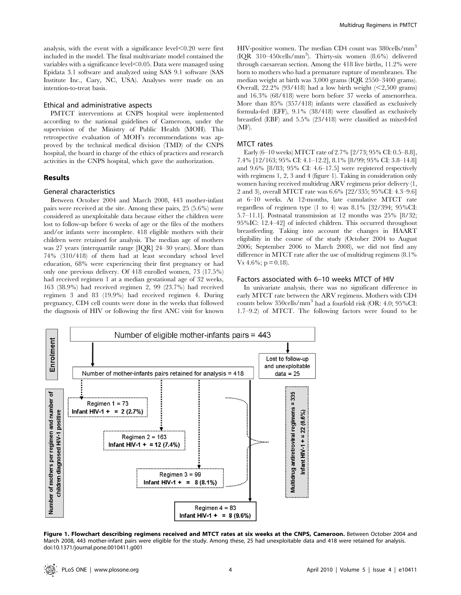analysis, with the event with a significance level $\leq 0.20$  were first included in the model. The final multivariate model contained the variables with a significance level $\leq 0.05$ . Data were managed using Epidata 3.1 software and analyzed using SAS 9.1 software (SAS Institute Inc., Cary, NC, USA). Analyses were made on an intention-to-treat basis.

# Ethical and administrative aspects

PMTCT interventions at CNPS hospital were implemented according to the national guidelines of Cameroon, under the supervision of the Ministry of Public Health (MOH). This retrospective evaluation of MOH's recommendations was approved by the technical medical division (TMD) of the CNPS hospital, the board in charge of the ethics of practices and research activities in the CNPS hospital, which gave the authorization.

#### Results

#### General characteristics

Between October 2004 and March 2008, 443 mother-infant pairs were received at the site. Among these pairs, 25 (5.6%) were considered as unexploitable data because either the children were lost to follow-up before 6 weeks of age or the files of the mothers and/or infants were incomplete. 418 eligible mothers with their children were retained for analysis. The median age of mothers was 27 years (interquartile range [IQR] 24–30 years). More than 74% (310/418) of them had at least secondary school level education, 68% were experiencing their first pregnancy or had only one previous delivery. Of 418 enrolled women, 73 (17.5%) had received regimen 1 at a median gestational age of 32 weeks, 163 (38.9%) had received regimen 2, 99 (23.7%) had received regimen 3 and 83 (19.9%) had received regimen 4. During pregnancy, CD4 cell counts were done in the weeks that followed the diagnosis of HIV or following the first ANC visit for known

HIV-positive women. The median CD4 count was 380cells/mm<sup>3</sup> (IQR 310–450cells/mm3 ). Thirty-six women (8.6%) delivered through caesarean section. Among the 418 live births, 11.2% were born to mothers who had a premature rupture of membranes. The median weight at birth was 3,000 grams (IQR 2550–3400 grams). Overall,  $22.2\%$  (93/418) had a low birth weight (<2,500 grams) and 16.3% (68/418) were born before 37 weeks of amenorrhea. More than 85% (357/418) infants were classified as exclusively formula-fed (EFF), 9.1% (38/418) were classified as exclusively breastfed (EBF) and 5.5% (23/418) were classified as mixed-fed (MF).

#### MTCT rates

Early (6–10 weeks) MTCT rate of 2.7% [2/73; 95% CI: 0.5–8.8], 7.4% [12/163; 95% CI: 4.1–12.2], 8.1% [8/99; 95% CI: 3.8–14.8] and 9.6% [8/83; 95% CI: 4.6–17.5] were registered respectively with regimens 1, 2, 3 and 4 (figure 1). Taking in consideration only women having received multidrug ARV regimens prior delivery (1, 2 and 3), overall MTCT rate was 6.6% [22/335; 95%CI: 4.3–9.6] at 6–10 weeks. At 12-months, late cumulative MTCT rate regardless of regimen type (1 to 4) was 8.1% [32/394; 95%CI: 5.7–11.1]. Postnatal transmission at 12 months was 25% [8/32; 95%IC: 12.4–42] of infected children. This occurred throughout breastfeeding. Taking into account the changes in HAART eligibility in the course of the study (October 2004 to August 2006; September 2006 to March 2008), we did not find any difference in MTCT rate after the use of multidrug regimens (8.1% Vs  $4.6\%$ ; p = 0.18).

#### Factors associated with 6–10 weeks MTCT of HIV

In univariate analysis, there was no significant difference in early MTCT rate between the ARV regimens. Mothers with CD4 counts below 350cells/mm<sup>3</sup> had a fourfold risk (OR: 4.0; 95%CI: 1.7–9.2) of MTCT. The following factors were found to be



Figure 1. Flowchart describing regimens received and MTCT rates at six weeks at the CNPS, Cameroon. Between October 2004 and March 2008, 443 mother-infant pairs were eligible for the study. Among these, 25 had unexploitable data and 418 were retained for analysis. doi:10.1371/journal.pone.0010411.g001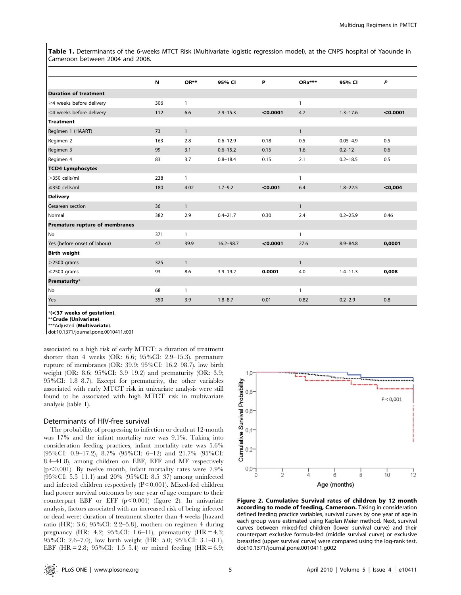Table 1. Determinants of the 6-weeks MTCT Risk (Multivariate logistic regression model), at the CNPS hospital of Yaounde in Cameroon between 2004 and 2008.

|                                | N   | OR**         | 95% CI        | P        | ORa***       | 95% CI       | $\boldsymbol{P}$ |
|--------------------------------|-----|--------------|---------------|----------|--------------|--------------|------------------|
| <b>Duration of treatment</b>   |     |              |               |          |              |              |                  |
| $\geq$ 4 weeks before delivery | 306 | $\mathbf{1}$ |               |          | $\mathbf{1}$ |              |                  |
| <4 weeks before delivery       | 112 | 6.6          | $2.9 - 15.3$  | < 0.0001 | 4.7          | $1.3 - 17.6$ | < 0.0001         |
| <b>Treatment</b>               |     |              |               |          |              |              |                  |
| Regimen 1 (HAART)              | 73  | $\mathbf{1}$ |               |          | $\mathbf{1}$ |              |                  |
| Regimen 2                      | 163 | 2.8          | $0.6 - 12.9$  | 0.18     | 0.5          | $0.05 - 4.9$ | 0.5              |
| Regimen 3                      | 99  | 3.1          | $0.6 - 15.2$  | 0.15     | 1.6          | $0.2 - 12$   | 0.6              |
| Regimen 4                      | 83  | 3.7          | $0.8 - 18.4$  | 0.15     | 2.1          | $0.2 - 18.5$ | 0.5              |
| <b>TCD4 Lymphocytes</b>        |     |              |               |          |              |              |                  |
| >350 cells/ml                  | 238 | $\mathbf{1}$ |               |          | $\mathbf{1}$ |              |                  |
| $\leq$ 350 cells/ml            | 180 | 4.02         | $1.7 - 9.2$   | < 0.001  | 6.4          | $1.8 - 22.5$ | < 0,004          |
| <b>Delivery</b>                |     |              |               |          |              |              |                  |
| Cesarean section               | 36  | $\mathbf{1}$ |               |          | $\mathbf{1}$ |              |                  |
| Normal                         | 382 | 2.9          | $0.4 - 21.7$  | 0.30     | 2.4          | $0.2 - 25.9$ | 0.46             |
| Premature rupture of membranes |     |              |               |          |              |              |                  |
| No                             | 371 | $\mathbf{1}$ |               |          | $\mathbf{1}$ |              |                  |
| Yes (before onset of labour)   | 47  | 39.9         | $16.2 - 98.7$ | < 0.0001 | 27.6         | $8.9 - 84.8$ | 0,0001           |
| <b>Birth weight</b>            |     |              |               |          |              |              |                  |
| $>$ 2500 grams                 | 325 | $\mathbf{1}$ |               |          | $\mathbf{1}$ |              |                  |
| $\leq$ 2500 grams              | 93  | 8.6          | $3.9 - 19.2$  | 0.0001   | 4.0          | $1.4 - 11.3$ | 0,008            |
| Prematurity*                   |     |              |               |          |              |              |                  |
| No                             | 68  | $\mathbf{1}$ |               |          | 1            |              |                  |
| Yes                            | 350 | 3.9          | $1.8 - 8.7$   | 0.01     | 0.82         | $0.2 - 2.9$  | 0.8              |

 $*(<sub>37</sub>$  weeks of gestation).

\*\*Crude (Univariate).

\*\*\*Adiusted (**Multivariate**).

doi:10.1371/journal.pone.0010411.t001

associated to a high risk of early MTCT: a duration of treatment shorter than 4 weeks (OR: 6.6; 95%CI: 2.9–15.3), premature rupture of membranes (OR: 39.9; 95%CI: 16.2–98.7), low birth weight (OR: 8.6; 95%CI: 3.9–19.2) and prematurity (OR: 3.9; 95%CI: 1.8–8.7). Except for prematurity, the other variables associated with early MTCT risk in univariate analysis were still found to be associated with high MTCT risk in multivariate analysis (table 1).

## Determinants of HIV-free survival

The probability of progressing to infection or death at 12-month was 17% and the infant mortality rate was 9.1%. Taking into consideration feeding practices, infant mortality rate was 5.6% (95%CI: 0.9–17.2), 8.7% (95%CI: 6–12) and 21.7% (95%CI: 8.4–41.8), among children on EBF, EFF and MF respectively  $(p<0.001)$ . By twelve month, infant mortality rates were 7.9% (95%CI: 5.5–11.1) and 20% (95%CI: 8.5–37) among uninfected and infected children respectively  $(P<0.001)$ . Mixed-fed children had poorer survival outcomes by one year of age compare to their counterpart EBF or EFF  $(p<0.001)$  (figure 2). In univariate analysis, factors associated with an increased risk of being infected or dead were: duration of treatment shorter than 4 weeks [hazard ratio (HR): 3.6; 95%CI: 2.2–5.8], mothers on regimen 4 during pregnancy (HR: 4.2; 95%CI: 1.6–11), prematurity (HR = 4.3; 95%CI: 2.6–7.0), low birth weight (HR: 5.0; 95%CI: 3.1–8.1), EBF (HR = 2.8; 95%CI: 1.5–5.4) or mixed feeding (HR = 6.9;



Figure 2. Cumulative Survival rates of children by 12 month according to mode of feeding, Cameroon. Taking in consideration defined feeding practice variables, survival curves by one year of age in each group were estimated using Kaplan Meier method. Next, survival curves between mixed-fed children (lower survival curve) and their counterpart exclusive formula-fed (middle survival curve) or exclusive breastfed (upper survival curve) were compared using the log-rank test. doi:10.1371/journal.pone.0010411.g002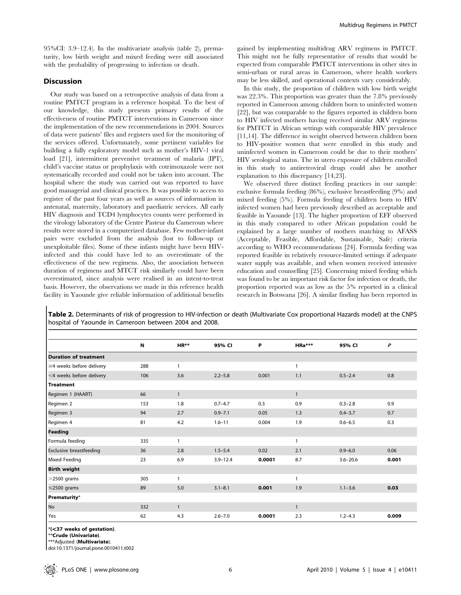95%CI: 3.9–12.4). In the multivariate analysis (table 2), prematurity, low birth weight and mixed feeding were still associated with the probability of progressing to infection or death.

# Discussion

Our study was based on a retrospective analysis of data from a routine PMTCT program in a reference hospital. To the best of our knowledge, this study presents primary results of the effectiveness of routine PMTCT interventions in Cameroon since the implementation of the new recommendations in 2004. Sources of data were patients' files and registers used for the monitoring of the services offered. Unfortunately, some pertinent variables for building a fully exploratory model such as mother's HIV-1 viral load [21], intermittent preventive treatment of malaria (IPT), child's vaccine status or prophylaxis with cotrimoxazole were not systematically recorded and could not be taken into account. The hospital where the study was carried out was reported to have good managerial and clinical practices. It was possible to access to register of the past four years as well as sources of information in antenatal, maternity, laboratory and paediatric services. All early HIV diagnosis and TCD4 lymphocytes counts were performed in the virology laboratory of the Centre Pasteur du Cameroun where results were stored in a computerized database. Few mother-infant pairs were excluded from the analysis (lost to follow-up or unexploitable files). Some of these infants might have been HIVinfected and this could have led to an overestimate of the effectiveness of the new regimens. Also, the association between duration of regimens and MTCT risk similarly could have been overestimated, since analysis were realised in an intent-to-treat basis. However, the observations we made in this reference health facility in Yaounde give reliable information of additional benefits

gained by implementing multidrug ARV regimens in PMTCT. This might not be fully representative of results that would be expected from comparable PMTCT interventions in other sites in semi-urban or rural areas in Cameroon, where health workers may be less skilled, and operational contexts vary considerably.

In this study, the proportion of children with low birth weight was 22.3%. This proportion was greater than the 7.8% previously reported in Cameroon among children born to uninfected women [22], but was comparable to the figures reported in children born to HIV infected mothers having received similar ARV regimens for PMTCT in African settings with comparable HIV prevalence [11,14]. The difference in weight observed between children born to HIV-positive women that were enrolled in this study and uninfected women in Cameroon could be due to their mothers' HIV serological status. The in utero exposure of children enrolled in this study to antiretroviral drugs could also be another explanation to this discrepancy [14,23].

We observed three distinct feeding practices in our sample: exclusive formula feeding (86%), exclusive breastfeeding (9%) and mixed feeding (5%). Formula feeding of children born to HIV infected women had been previously described as acceptable and feasible in Yaounde [13]. The higher proportion of EFF observed in this study compared to other African population could be explained by a large number of mothers matching to AFASS (Acceptable, Feasible, Affordable, Sustainable, Safe) criteria according to WHO recommendations [24]. Formula feeding was reported feasible in relatively resource-limited settings if adequate water supply was available, and when women received intensive education and counselling [25]. Concerning mixed feeding which was found to be an important risk factor for infection or death, the proportion reported was as low as the 5% reported in a clinical research in Botswana [26]. A similar finding has been reported in

|                                | $\boldsymbol{\mathsf{N}}$ | $HR**$       | 95% CI       | P      | $HRa***$     | 95% CI       | P     |
|--------------------------------|---------------------------|--------------|--------------|--------|--------------|--------------|-------|
| <b>Duration of treatment</b>   |                           |              |              |        |              |              |       |
| $\geq$ 4 weeks before delivery | 288                       | $\mathbf{1}$ |              |        | 1            |              |       |
| <4 weeks before delivery       | 106                       | 3.6          | $2.2 - 5.8$  | 0.001  | 1.1          | $0.5 - 2.4$  | 0.8   |
| <b>Treatment</b>               |                           |              |              |        |              |              |       |
| Regimen 1 (HAART)              | 66                        | $\mathbf{1}$ |              |        | $\mathbf{1}$ |              |       |
| Regimen 2                      | 153                       | 1.8          | $0.7 - 4.7$  | 0.3    | 0.9          | $0.3 - 2.8$  | 0.9   |
| Regimen 3                      | 94                        | 2.7          | $0.9 - 7.1$  | 0.05   | 1.3          | $0.4 - 3.7$  | 0.7   |
| Regimen 4                      | 81                        | 4.2          | $1.6 - 11$   | 0.004  | 1.9          | $0.6 - 6.5$  | 0.3   |
| Feeding                        |                           |              |              |        |              |              |       |
| Formula feeding                | 335                       | $\mathbf{1}$ |              |        | $\mathbf{1}$ |              |       |
| <b>Exclusive breastfeeding</b> | 36                        | 2.8          | $1.5 - 5.4$  | 0.02   | 2.1          | $0.9 - 6.0$  | 0.06  |
| Mixed Feeding                  | 23                        | 6.9          | $3.9 - 12.4$ | 0.0001 | 8.7          | $3.6 - 20.6$ | 0.001 |
| <b>Birth weight</b>            |                           |              |              |        |              |              |       |
| $>$ 2500 grams                 | 305                       | $\mathbf{1}$ |              |        | $\mathbf{1}$ |              |       |
| $\leq$ 2500 grams              | 89                        | 5.0          | $3.1 - 8.1$  | 0.001  | 1.9          | $1.1 - 3.6$  | 0.03  |
| Prematurity*                   |                           |              |              |        |              |              |       |
| No                             | 332                       | $\mathbf{1}$ |              |        | $\mathbf{1}$ |              |       |
| Yes                            | 62                        | 4.3          | $2.6 - 7.0$  | 0.0001 | 2.3          | $1.2 - 4.3$  | 0.009 |

Table 2. Determinants of risk of progression to HIV-infection or death (Multivariate Cox proportional Hazards model) at the CNPS hospital of Yaounde in Cameroon between 2004 and 2008.

 $*(<sub>37</sub>$  weeks of gestation).

\*\*Crude (Univariate).

\*\*\*Adjusted (Multivariate).

doi:10.1371/journal.pone.0010411.t002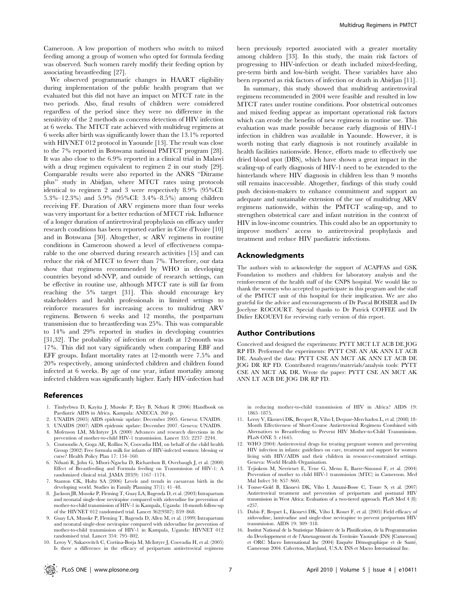Cameroon. A low proportion of mothers who switch to mixed feeding among a group of women who opted for formula feeding was observed. Such women rarely modify their feeding option by associating breastfeeding [27].

We observed programmatic changes in HAART eligibility during implementation of the public health program that we evaluated but this did not have an impact on MTCT rate in the two periods. Also, final results of children were considered regardless of the period since they were no difference in the sensitivity of the 2 methods as concerns detection of HIV infection at 6 weeks. The MTCT rate achieved with multidrug regimens at 6 weeks after birth was significantly lower than the 13.1% reported with HIVNET 012 protocol in Yaounde [13]. The result was close to the 7% reported in Botswana national PMTCT program [28]. It was also close to the 6.9% reported in a clinical trial in Malawi with a drug regimen equivalent to regimen 2 in our study [29]. Comparable results were also reported in the ANRS ''Ditrame plus'' study in Abidjan, where MTCT rates using protocols identical to regimen 2 and 3 were respectively 8.9% (95%CI: 5.3%–12.3%) and 5.9% (95%CI: 3.4%–8.5%) among children receiving FF. Duration of ARV regimens more than four weeks was very important for a better reduction of MTCT risk. Influence of a longer duration of antiretroviral prophylaxis on efficacy under research conditions has been reported earlier in Côte d'Ivoire [10] and in Botswana [30]. Altogether, sc ARV regimens in routine conditions in Cameroon showed a level of effectiveness comparable to the one observed during research activities [15] and can reduce the risk of MTCT to fewer than 7%. Therefore, our data show that regimens recommended by WHO in developing countries beyond sd-NVP, and outside of research settings, can be effective in routine use, although MTCT rate is still far from reaching the 5% target [31]. This should encourage key stakeholders and health professionals in limited settings to reinforce measures for increasing access to multidrug ARV regimens. Between 6 weeks and 12 months, the postpartum transmission due to breastfeeding was 25%. This was comparable to 14% and 29% reported in studies in developing countries [31,32]. The probability of infection or death at 12-month was 17%. This did not vary significantly when comparing EBF and EFF groups. Infant mortality rates at 12-month were 7.5% and 20% respectively, among uninfected children and children found infected at 6 weeks. By age of one year, infant mortality among infected children was significantly higher. Early HIV-infection had

#### References

- 1. Tindyebwa D, Kayita J, Musoke P, Eley B, Nduati R (2006) Handbook on Paediatric AIDS in Africa. Kampala: ANECCA. 260 p.
- 2. UNAIDS (2005) AIDS epidemic update: December 2005. Geneva: UNAIDS.
- 3. UNAIDS (2007) AIDS epidemic update: December 2007. Geneva: UNAIDS.
- 4. Mofenson LM, McIntyre JA (2000) Advances and research directions in the prevention of mother-to-child HIV-1 transmission. Lancet 355: 2237–2244.
- 5. Coutsoudis A, Goga AE, Rollins N, Coovadia HM, on behalf of the child health Group (2002) Free formula milk for infants of HIV-infected women: blessing or curse? Health Policy Plan 17: 154–160.
- 6. Nduati R, John G, Mbori-Ngacha D, Richardson B, Overbaugh J, et al. (2000) Effect of Breastfeeding and Formula feeding on Transmission of HIV-1: A randomized clinical trial. JAMA 283(9): 1167–1174.
- 7. Stanton CK, Holtz SA (2006) Levels and trends in caesarean birth in the developing world. Studies in Family Planning 37(1): 41–48.
- 8. Jackson JB, Musoke P, Fleming T, Guay LA, Bagenda D, et al. (2003) Intrapartum and neonatal single-dose nevirapine compared with zidovudine for prevention of mother-to-child transmission of HIV-1 in Kampala, Uganda: 18-month follow-up of the HIVNET 012 randomised trial. Lancet 362(9387): 859–868.
- 9. Guay LA, Musoke P, Fleming T, Bagenda D, Allen M, et al. (1999) Intrapartum and neonatal single-dose nevirapine compared with zidovudine for prevention of mother-to-child transmission of HIV-1 in Kampala, Uganda: HIVNET 012 randomised trial. Lancet 354: 795–802.
- 10. Leroy V, Sakarovitch C, Cortina-Borja M, McIntyre J, Coovadia H, et al. (2005) Is there a difference in the efficacy of peripartum antiretroviral regimens

been previously reported associated with a greater mortality among children [33]. In this study, the main risk factors of progressing to HIV-infection or death included mixed-feeding, pre-term birth and low-birth weight. These variables have also been reported as risk factors of infection or death in Abidjan [11].

In summary, this study showed that multidrug antiretroviral regimens recommended in 2004 were feasible and resulted in low MTCT rates under routine conditions. Poor obstetrical outcomes and mixed feeding appear as important operational risk factors which can erode the benefits of new regimens in routine use. This evaluation was made possible because early diagnosis of HIV-1 infection in children was available in Yaounde. However, it is worth noting that early diagnosis is not routinely available in health facilities nationwide. Hence, efforts made to effectively use dried blood spot (DBS), which have shown a great impact in the scaling-up of early diagnosis of HIV-1 need to be extended to the hinterlands where HIV diagnosis in children less than 9 months still remains inaccessible. Altogether, findings of this study could push decision-makers to enhance commitment and support an adequate and sustainable extension of the use of multidrug ARV regimens nationwide, within the PMTCT scaling-up, and to strengthen obstetrical care and infant nutrition in the context of HIV in low-income countries. This could also be an opportunity to improve mothers' access to antiretroviral prophylaxis and treatment and reduce HIV paediatric infections.

#### Acknowledgments

The authors wish to acknowledge the support of ACAPFAS and GSK Foundation to mothers and children for laboratory analysis and the reinforcement of the health staff of the CNPS hospital. We would like to thank the women who accepted to participate in this program and the staff of the PMTCT unit of this hospital for their implication. We are also grateful for the advice and encouragements of Dr Pascal BOISIER and Dr Jocelyne ROCOURT. Special thanks to Dr Patrick COFFEE and Dr Didier EKOUEVI for reviewing early version of this report.

#### Author Contributions

Conceived and designed the experiments: PYTT MCT LT ACB DE JOG RP FD. Performed the experiments: PYTT CSE AN AK ANN LT ACB DE. Analyzed the data: PYTT CSE AN MCT AK ANN LT ACB DE JOG DR RP FD. Contributed reagents/materials/analysis tools: PYTT CSE AN MCT AK DR. Wrote the paper: PYTT CSE AN MCT AK ANN LT ACB DE JOG DR RP FD.

in reducing mother-to-child transmission of HIV in Africa? AIDS 19: 1865–1875.

- 11. Leroy V, Ekouevi DK, Becquet R, Viho I, Dequae-Merchadou L, et al. (2008) 18- Month Effectiveness of Short-Course Antiretroviral Regimens Combined with Alternatives to Breastfeeding to Prevent HIV Mother-to-Child Transmission. PLoS ONE 3: e1645.
- 12. WHO (2004) Antiretroviral drugs for treating pregnant women and preventing HIV infection in infants: guidelines on care, treatment and support for women living with HIV/AIDS and their children in resource-constrained settings. Geneva: World Health Organisation.
- 13. Tejiokem M, Nerrienet E, Tene G, Menu E, Barre-Sinoussi F, et al. (2004) Prevention of mother to child HIV-1 transmission (MTC) in Cameroon. Med Mal Infect 34: S57–S60.
- 14. Tonwe-Gold B, Ekouevi DK, Viho I, Amani-Bosse C, Toure S, et al. (2007) Antiretroviral treatment and prevention of peripartum and postnatal HIV transmission in West Africa: Evaluation of a two-tiered approach. PLoS Med 4 (8): e257.
- 15. Dabis F, Bequet L, Ekouevi DK, Viho I, Rouet F, et al. (2005) Field efficacy of zidovudine, lamivudine and single-dose nevirapine to prevent peripartum HIV transmission. AIDS 19: 309–318.
- 16. Institut National de la Statistique Ministere de la Planification, de la Programmation du Developpement et de l'Amenagement du Territoire Yaounde (INS) [Cameroun] et ORC Macro International Inc (2004) Enquête Démographique et de Santé, Cameroun 2004. Calverton, Maryland, U.S.A: INS et Macro International Inc.